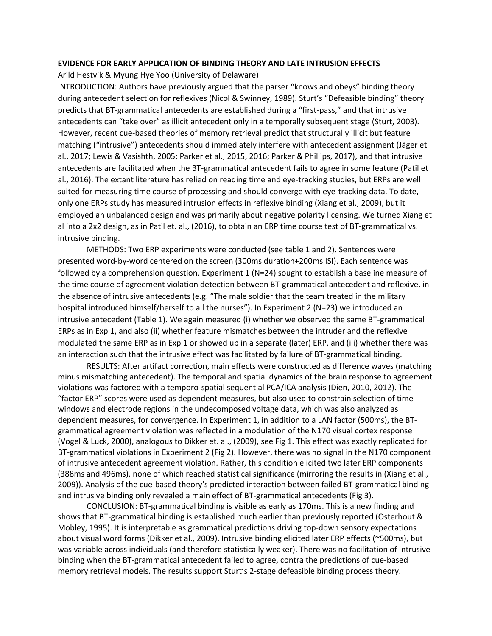## **EVIDENCE FOR EARLY APPLICATION OF BINDING THEORY AND LATE INTRUSION EFFECTS**

Arild Hestvik & Myung Hye Yoo (University of Delaware)

INTRODUCTION: Authors have previously argued that the parser "knows and obeys" binding theory during antecedent selection for reflexives (Nicol & Swinney, 1989). Sturt's "Defeasible binding" theory predicts that BT-grammatical antecedents are established during a "first-pass," and that intrusive antecedents can "take over" as illicit antecedent only in a temporally subsequent stage (Sturt, 2003). However, recent cue-based theories of memory retrieval predict that structurally illicit but feature matching ("intrusive") antecedents should immediately interfere with antecedent assignment (Jäger et al., 2017; Lewis & Vasishth, 2005; Parker et al., 2015, 2016; Parker & Phillips, 2017), and that intrusive antecedents are facilitated when the BT-grammatical antecedent fails to agree in some feature (Patil et al., 2016). The extant literature has relied on reading time and eye-tracking studies, but ERPs are well suited for measuring time course of processing and should converge with eye-tracking data. To date, only one ERPs study has measured intrusion effects in reflexive binding (Xiang et al., 2009), but it employed an unbalanced design and was primarily about negative polarity licensing. We turned Xiang et al into a 2x2 design, as in Patil et. al., (2016), to obtain an ERP time course test of BT-grammatical vs. intrusive binding.

METHODS: Two ERP experiments were conducted (see table 1 and 2). Sentences were presented word-by-word centered on the screen (300ms duration+200ms ISI). Each sentence was followed by a comprehension question. Experiment  $1(N=24)$  sought to establish a baseline measure of the time course of agreement violation detection between BT-grammatical antecedent and reflexive, in the absence of intrusive antecedents (e.g. "The male soldier that the team treated in the military hospital introduced himself/herself to all the nurses"). In Experiment 2 (N=23) we introduced an intrusive antecedent (Table 1). We again measured (i) whether we observed the same BT-grammatical ERPs as in Exp 1, and also (ii) whether feature mismatches between the intruder and the reflexive modulated the same ERP as in Exp 1 or showed up in a separate (later) ERP, and (iii) whether there was an interaction such that the intrusive effect was facilitated by failure of BT-grammatical binding.

RESULTS: After artifact correction, main effects were constructed as difference waves (matching minus mismatching antecedent). The temporal and spatial dynamics of the brain response to agreement violations was factored with a temporo-spatial sequential PCA/ICA analysis (Dien, 2010, 2012). The "factor ERP" scores were used as dependent measures, but also used to constrain selection of time windows and electrode regions in the undecomposed voltage data, which was also analyzed as dependent measures, for convergence. In Experiment 1, in addition to a LAN factor (500ms), the BTgrammatical agreement violation was reflected in a modulation of the N170 visual cortex response (Vogel & Luck, 2000), analogous to Dikker et. al., (2009), see Fig 1. This effect was exactly replicated for BT-grammatical violations in Experiment 2 (Fig 2). However, there was no signal in the N170 component of intrusive antecedent agreement violation. Rather, this condition elicited two later ERP components (388ms and 496ms), none of which reached statistical significance (mirroring the results in (Xiang et al., 2009)). Analysis of the cue-based theory's predicted interaction between failed BT-grammatical binding and intrusive binding only revealed a main effect of BT-grammatical antecedents (Fig 3).

CONCLUSION: BT-grammatical binding is visible as early as 170ms. This is a new finding and shows that BT-grammatical binding is established much earlier than previously reported (Osterhout & Mobley, 1995). It is interpretable as grammatical predictions driving top-down sensory expectations about visual word forms (Dikker et al., 2009). Intrusive binding elicited later ERP effects (~500ms), but was variable across individuals (and therefore statistically weaker). There was no facilitation of intrusive binding when the BT-grammatical antecedent failed to agree, contra the predictions of cue-based memory retrieval models. The results support Sturt's 2-stage defeasible binding process theory.